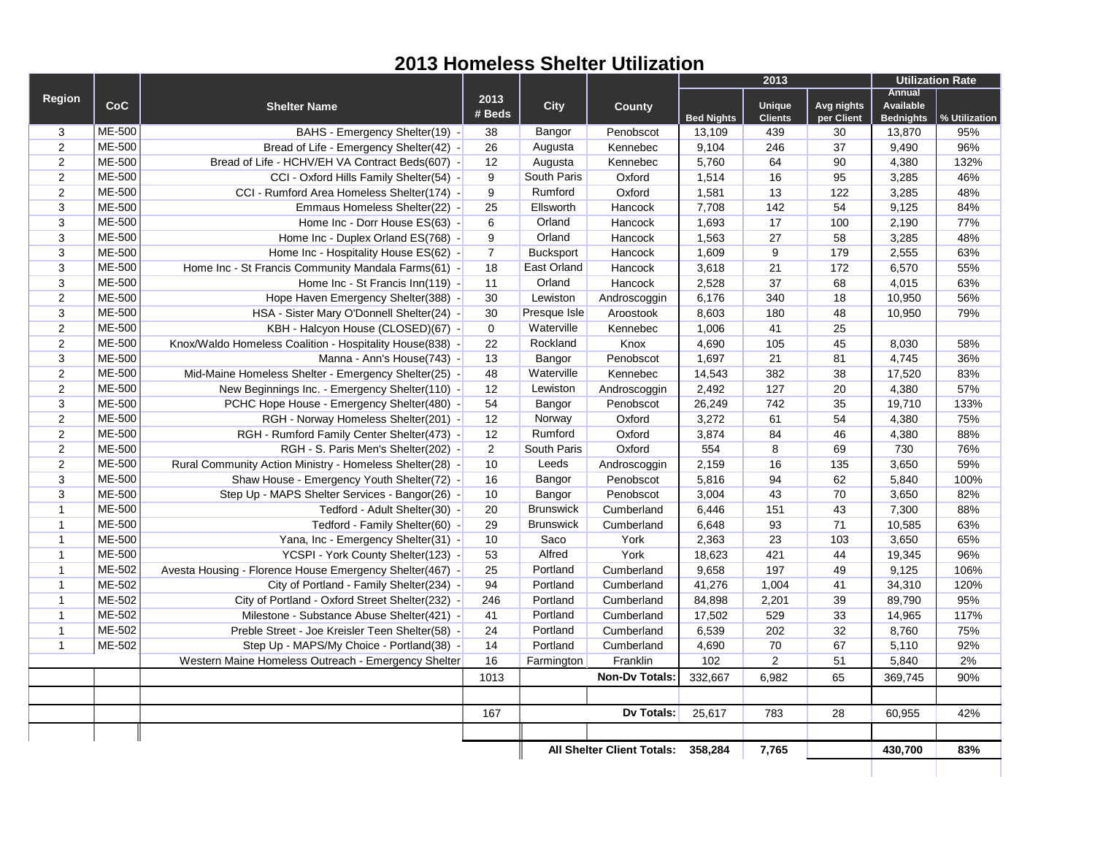## **2013 Homeless Shelter Utilization**

|                |        |                                                          |                |                  |                                   | 2013              |                          |                          | <b>Utilization Rate</b>                               |               |
|----------------|--------|----------------------------------------------------------|----------------|------------------|-----------------------------------|-------------------|--------------------------|--------------------------|-------------------------------------------------------|---------------|
| <b>Region</b>  | CoC    | <b>Shelter Name</b>                                      | 2013<br># Beds | <b>City</b>      | <b>County</b>                     | <b>Bed Nights</b> | Unique<br><b>Clients</b> | Avg nights<br>per Client | <b>Annual</b><br><b>Available</b><br><b>Bednights</b> | % Utilization |
| 3              | ME-500 | BAHS - Emergency Shelter(19) -                           | 38             | Bangor           | Penobscot                         | 13,109            | 439                      | 30                       | 13,870                                                | 95%           |
| $\overline{2}$ | ME-500 | Bread of Life - Emergency Shelter(42) -                  | 26             | Augusta          | Kennebec                          | 9,104             | 246                      | 37                       | 9,490                                                 | 96%           |
| 2              | ME-500 | Bread of Life - HCHV/EH VA Contract Beds(607) -          | 12             | Augusta          | Kennebec                          | 5,760             | 64                       | 90                       | 4,380                                                 | 132%          |
| $\overline{2}$ | ME-500 | CCI - Oxford Hills Family Shelter(54) -                  | 9              | South Paris      | Oxford                            | 1,514             | 16                       | 95                       | 3,285                                                 | 46%           |
| $\mathbf{2}$   | ME-500 | CCI - Rumford Area Homeless Shelter(174) -               | 9              | Rumford          | Oxford                            | 1,581             | 13                       | 122                      | 3,285                                                 | 48%           |
| 3              | ME-500 | Emmaus Homeless Shelter(22) -                            | 25             | Ellsworth        | Hancock                           | 7,708             | 142                      | 54                       | 9,125                                                 | 84%           |
| 3              | ME-500 | Home Inc - Dorr House ES(63) -                           | $\,6\,$        | Orland           | Hancock                           | 1,693             | 17                       | 100                      | 2,190                                                 | 77%           |
| 3              | ME-500 | Home Inc - Duplex Orland ES(768) -                       | 9              | Orland           | Hancock                           | 1,563             | 27                       | 58                       | 3,285                                                 | 48%           |
| 3              | ME-500 | Home Inc - Hospitality House ES(62) -                    | $\overline{7}$ | <b>Bucksport</b> | Hancock                           | 1,609             | 9                        | 179                      | 2,555                                                 | 63%           |
| 3              | ME-500 | Home Inc - St Francis Community Mandala Farms(61) -      | 18             | East Orland      | Hancock                           | 3,618             | 21                       | 172                      | 6,570                                                 | 55%           |
| 3              | ME-500 | Home Inc - St Francis Inn(119) -                         | 11             | Orland           | Hancock                           | 2,528             | 37                       | 68                       | 4,015                                                 | 63%           |
| $\overline{2}$ | ME-500 | Hope Haven Emergency Shelter(388) -                      | 30             | Lewiston         | Androscoggin                      | 6,176             | 340                      | 18                       | 10,950                                                | 56%           |
| 3              | ME-500 | HSA - Sister Mary O'Donnell Shelter(24) -                | 30             | Presque Isle     | Aroostook                         | 8,603             | 180                      | 48                       | 10,950                                                | 79%           |
| $\overline{2}$ | ME-500 | KBH - Halcyon House (CLOSED)(67) -                       | $\mathbf 0$    | Waterville       | Kennebec                          | 1,006             | 41                       | 25                       |                                                       |               |
| $\overline{2}$ | ME-500 | Knox/Waldo Homeless Coalition - Hospitality House(838) - | 22             | Rockland         | Knox                              | 4,690             | 105                      | 45                       | 8,030                                                 | 58%           |
| 3              | ME-500 | Manna - Ann's House(743) -                               | 13             | Bangor           | Penobscot                         | 1,697             | 21                       | 81                       | 4,745                                                 | 36%           |
| $\overline{2}$ | ME-500 | Mid-Maine Homeless Shelter - Emergency Shelter(25) -     | 48             | Waterville       | Kennebec                          | 14,543            | 382                      | 38                       | 17,520                                                | 83%           |
| $\overline{2}$ | ME-500 | New Beginnings Inc. - Emergency Shelter(110) -           | 12             | Lewiston         | Androscoggin                      | 2,492             | 127                      | 20                       | 4,380                                                 | 57%           |
| 3              | ME-500 | PCHC Hope House - Emergency Shelter(480) -               | 54             | Bangor           | Penobscot                         | 26,249            | 742                      | 35                       | 19,710                                                | 133%          |
| $\overline{2}$ | ME-500 | RGH - Norway Homeless Shelter(201) -                     | 12             | Norway           | Oxford                            | 3,272             | 61                       | 54                       | 4,380                                                 | 75%           |
| 2              | ME-500 | RGH - Rumford Family Center Shelter(473) -               | 12             | Rumford          | Oxford                            | 3,874             | 84                       | 46                       | 4,380                                                 | 88%           |
| $\mathbf{2}$   | ME-500 | RGH - S. Paris Men's Shelter(202) -                      | 2              | South Paris      | Oxford                            | 554               | 8                        | 69                       | 730                                                   | 76%           |
| $\mathbf{2}$   | ME-500 | Rural Community Action Ministry - Homeless Shelter(28) - | 10             | Leeds            | Androscoggin                      | 2,159             | 16                       | 135                      | 3,650                                                 | 59%           |
| 3              | ME-500 | Shaw House - Emergency Youth Shelter(72) -               | 16             | Bangor           | Penobscot                         | 5,816             | 94                       | 62                       | 5,840                                                 | 100%          |
| 3              | ME-500 | Step Up - MAPS Shelter Services - Bangor(26) -           | 10             | Bangor           | Penobscot                         | 3,004             | 43                       | 70                       | 3,650                                                 | 82%           |
| $\mathbf{1}$   | ME-500 | Tedford - Adult Shelter(30) -                            | 20             | <b>Brunswick</b> | Cumberland                        | 6,446             | 151                      | 43                       | 7,300                                                 | 88%           |
| $\mathbf{1}$   | ME-500 | Tedford - Family Shelter(60) -                           | 29             | <b>Brunswick</b> | Cumberland                        | 6,648             | 93                       | 71                       | 10,585                                                | 63%           |
| $\mathbf{1}$   | ME-500 | Yana, Inc - Emergency Shelter(31) -                      | 10             | Saco             | York                              | 2,363             | 23                       | 103                      | 3,650                                                 | 65%           |
| $\mathbf{1}$   | ME-500 | YCSPI - York County Shelter(123) -                       | 53             | Alfred           | York                              | 18,623            | 421                      | 44                       | 19,345                                                | 96%           |
| $\mathbf{1}$   | ME-502 | Avesta Housing - Florence House Emergency Shelter(467) - | 25             | Portland         | Cumberland                        | 9,658             | 197                      | 49                       | 9,125                                                 | 106%          |
| $\mathbf{1}$   | ME-502 | City of Portland - Family Shelter(234) -                 | 94             | Portland         | Cumberland                        | 41,276            | 1,004                    | 41                       | 34,310                                                | 120%          |
| $\mathbf{1}$   | ME-502 | City of Portland - Oxford Street Shelter(232) -          | 246            | Portland         | Cumberland                        | 84,898            | 2,201                    | 39                       | 89,790                                                | 95%           |
| $\mathbf{1}$   | ME-502 | Milestone - Substance Abuse Shelter(421) -               | 41             | Portland         | Cumberland                        | 17,502            | 529                      | 33                       | 14,965                                                | 117%          |
| $\mathbf{1}$   | ME-502 | Preble Street - Joe Kreisler Teen Shelter(58) -          | 24             | Portland         | Cumberland                        | 6,539             | 202                      | 32                       | 8,760                                                 | 75%           |
| $\mathbf{1}$   | ME-502 | Step Up - MAPS/My Choice - Portland(38) -                | 14             | Portland         | Cumberland                        | 4,690             | 70                       | 67                       | 5,110                                                 | 92%           |
|                |        | Western Maine Homeless Outreach - Emergency Shelter      | 16             | Farmington       | Franklin                          | 102               | $\overline{2}$           | 51                       | 5,840                                                 | 2%            |
|                |        |                                                          | 1013           |                  | <b>Non-Dv Totals</b>              | 332,667           | 6,982                    | 65                       | 369,745                                               | 90%           |
|                |        |                                                          |                |                  |                                   |                   |                          |                          |                                                       |               |
|                |        |                                                          | 167            |                  | Dv Totals:                        | 25,617            | 783                      | 28                       | 60,955                                                | 42%           |
|                |        |                                                          |                |                  |                                   |                   |                          |                          |                                                       |               |
|                |        |                                                          |                |                  | <b>All Shelter Client Totals:</b> | 358,284           | 7,765                    |                          | 430,700                                               | 83%           |